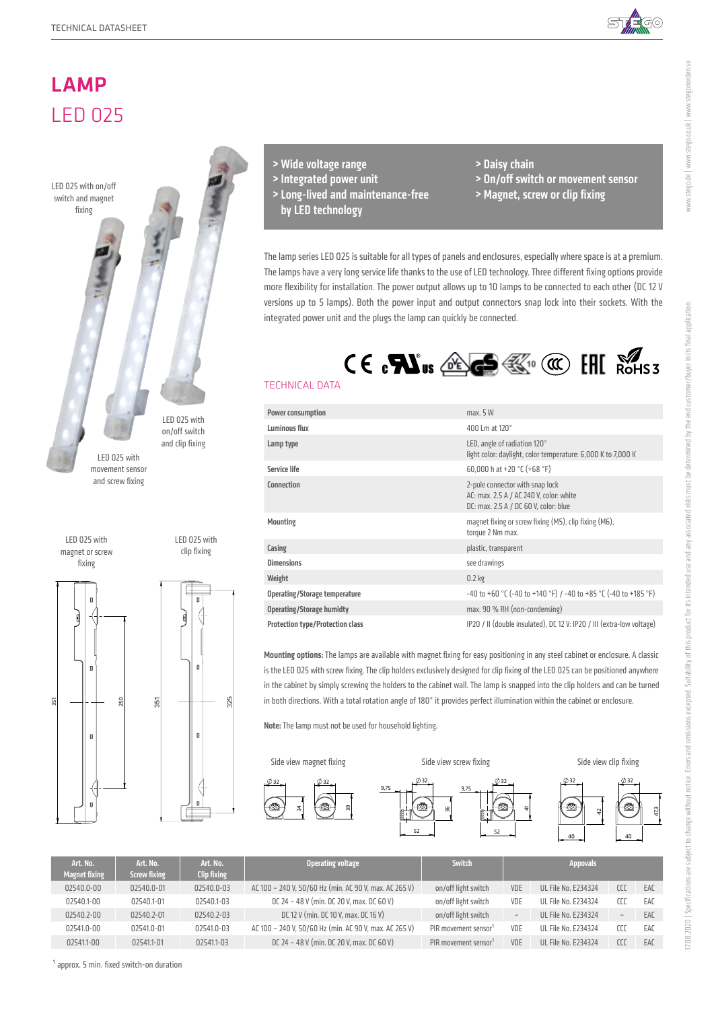





 $325$ 

- > Wide voltage range
- > Integrated power unit
- > Long-lived and maintenance-free
	- by LED technology
- > Daisy chain
- > On/off switch or movement sensor
- > Magnet, screw or clip fixing

The lamp series LED 025 is suitable for all types of panels and enclosures, especially where space is at a premium. The lamps have a very long service life thanks to the use of LED technology. Three different fixing options provide more flexibility for installation. The power output allows up to 10 lamps to be connected to each other (DC 12 V versions up to 5 lamps). Both the power input and output connectors snap lock into their sockets. With the integrated power unit and the plugs the lamp can quickly be connected.



# TECHNICAL DATA

| Power consumption                       | max. 5 W                                                                                                            |
|-----------------------------------------|---------------------------------------------------------------------------------------------------------------------|
| Luminous flux                           | 400 Lm at 120°                                                                                                      |
| Lamp type                               | LED, angle of radiation 120°<br>light color: daylight, color temperature: 6,000 K to 7,000 K                        |
| Service life                            | 60,000 h at +20 $°C$ (+68 $°F$ )                                                                                    |
| Connection                              | 2-pole connector with snap lock<br>AC: max. 2.5 A / AC 240 V, color: white<br>DC: max. 2.5 A / DC 60 V, color: blue |
| <b>Mounting</b>                         | magnet fixing or screw fixing (M5), clip fixing (M6),<br>torque 2 Nm max.                                           |
| Casing                                  | plastic, transparent                                                                                                |
| <b>Dimensions</b>                       | see drawings                                                                                                        |
| Weight                                  | $0.2$ kg                                                                                                            |
| Operating/Storage temperature           | -40 to +60 °C (-40 to +140 °F) / -40 to +85 °C (-40 to +185 °F)                                                     |
| <b>Operating/Storage humidty</b>        | max. 90 % RH (non-condensing)                                                                                       |
| <b>Protection type/Protection class</b> | IP20 / II (double insulated), DC 12 V: IP20 / III (extra-low voltage)                                               |

Mounting options: The lamps are available with magnet fixing for easy positioning in any steel cabinet or enclosure. A classic is the LED 025 with screw fixing. The clip holders exclusively designed for clip fixing of the LED 025 can be positioned anywhere in the cabinet by simply screwing the holders to the cabinet wall. The lamp is snapped into the clip holders and can be turned in both directions. With a total rotation angle of 180° it provides perfect illumination within the cabinet or enclosure.

Note: The lamp must not be used for household lighting.



| Art. No.             | Art. No.            | Art. No.           | Operating voltage                                      | Switch                           |                   | <b>Appovals</b>            |                          |     |
|----------------------|---------------------|--------------------|--------------------------------------------------------|----------------------------------|-------------------|----------------------------|--------------------------|-----|
| <b>Magnet fixing</b> | <b>Screw fixing</b> | <b>Clip fixing</b> |                                                        |                                  |                   |                            |                          |     |
| 02540.0-00           | 02540.0-01          | 02540.0-03         | AC 100 - 240 V, 50/60 Hz (min. AC 90 V, max. AC 265 V) | on/off light switch              | VDE               | <b>UL File No. E234324</b> | CCC                      | EAC |
| 02540.1-00           | 02540.1-01          | 02540.1-03         | DC 24 - 48 V (min. DC 20 V, max. DC 60 V)              | on/off light switch              | VDE               | UL File No. E234324        | cco                      | EAC |
| 02540.2-00           | 02540.2-01          | 02540.2-03         | DC 12 V (min. DC 10 V, max. DC 16 V)                   | on/off light switch              | $\qquad \qquad -$ | <b>UL File No. E234324</b> | $\overline{\phantom{a}}$ | EAC |
| 02541.0-00           | 02541.0-01          | 02541.0-03         | AC 100 - 240 V, 50/60 Hz (min. AC 90 V, max. AC 265 V) | PIR movement sensor <sup>1</sup> | VDE               | <b>UL File No. E234324</b> | rrr                      | EAC |
| 02541.1-00           | 02541.1-01          | 02541.1-03         | DC 24 - 48 V (min. DC 20 V, max. DC 60 V)              | PIR movement sensor <sup>1</sup> | VDE               | <b>UL File No. E234324</b> | CC                       | EAC |

www.stego.de | www.stego.co.uk | www.stegonorden.se

www.stego.de | www.stego.co.uk | www.stegonorden.se

 $<sup>1</sup>$  approx. 5 min. fixed switch-on duration</sup>